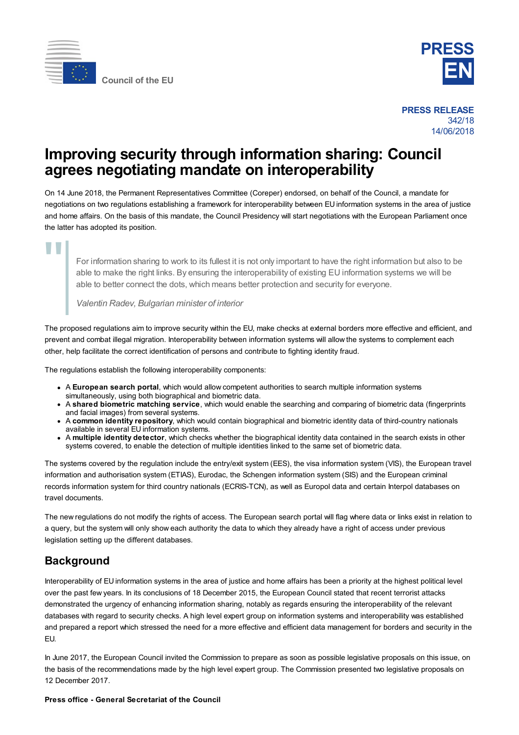



**PRESS RELEASE** 342/18 14/06/2018

## **Improving security through information sharing: Council agrees negotiating mandate on interoperability**

On 14 June 2018, the Permanent Representatives Committee (Coreper) endorsed, on behalf of the Council, a mandate for negotiations on two regulations establishing a framework for interoperability between EU information systems in the area of justice and home affairs. On the basis of this mandate, the Council Presidency will start negotiations with the European Parliament once the latter has adopted its position.

"

For information sharing to work to its fullest it is not only important to have the right information but also to be able to make the right links. By ensuring the interoperability of existing EU information systems we will be able to better connect the dots, which means better protection and security for everyone.

*Valentin Radev, Bulgarian minister of interior*

The proposed regulations aim to improve security within the EU, make checks at external borders more effective and efficient, and prevent and combat illegal migration. Interoperability between information systems will allow the systems to complement each other, help facilitate the correct identification of persons and contribute to fighting identity fraud.

The regulations establish the following interoperability components:

- A **European search portal**, which would allow competent authorities to search multiple information systems simultaneously, using both biographical and biometric data.
- A **shared biometric matching service**, which would enable the searching and comparing of biometric data (fingerprints and facial images) from several systems.
- A **common identity repository**, which would contain biographical and biometric identity data of third-country nationals available in several EU information systems.
- A **multiple identity detector**, which checks whether the biographical identity data contained in the search exists in other systems covered, to enable the detection of multiple identities linked to the same set of biometric data.

The systems covered by the regulation include the entry/exit system (EES), the visa information system (VIS), the European travel information and authorisation system (ETIAS), Eurodac, the Schengen information system (SIS) and the European criminal records information system for third country nationals (ECRIS-TCN), as well as Europol data and certain Interpol databases on travel documents.

The new regulations do not modify the rights of access. The European search portal will flag where data or links exist in relation to a query, but the system will only show each authority the data to which they already have a right of access under previous legislation setting up the different databases.

## **Background**

Interoperability of EU information systems in the area of justice and home affairs has been a priority at the highest political level over the past few years. In its conclusions of 18 December 2015, the European Council stated that recent terrorist attacks demonstrated the urgency of enhancing information sharing, notably as regards ensuring the interoperability of the relevant databases with regard to security checks. A high level expert group on information systems and interoperability was established and prepared a report which stressed the need for a more effective and efficient data management for borders and security in the EU.

In June 2017, the European Council invited the Commission to prepare as soon as possible legislative proposals on this issue, on the basis of the recommendations made by the high level expert group. The Commission presented two legislative proposals on 12 December 2017.

## **Press office - General Secretariat of the Council**